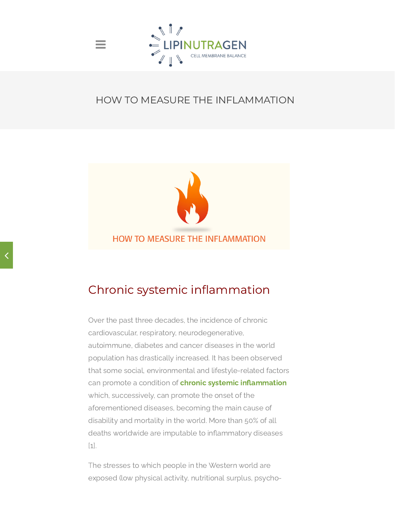

 $\equiv$ 

#### HOW TO MEASURE THE INFLAMMATION



# Chronic systemic inflammation

Over the past three decades, the incidence of chronic cardiovascular, respiratory, neurodegenerative, autoimmune, diabetes and cancer diseases in the world population has drastically increased. It has been observed that some social, environmental and lifestyle-related factors can promote a condition of **chronic systemic inflammation** which, successively, can promote the onset of the aforementioned diseases, becoming the main cause of disability and mortality in the world. More than 50% of all deaths worldwide are imputable to inflammatory diseases [1].

The stresses to which people in the Western world are exposed (low physical activity, nutritional surplus, psycho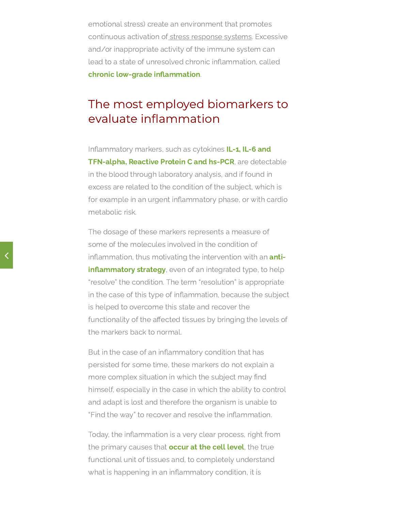emotional stress) create an environment that promotes continuous activation of stress [response](https://www.lipinutragen.it/en/stress-trigger-autoimmunity/) systems. Excessive and/or inappropriate activity of the immune system can lead to a state of unresolved chronic inflammation, called chronic low-grade inflammation.

## The most employed biomarkers to evaluate inflammation

Inflammatory markers, such as cytokines IL-1, IL-6 and TFN-alpha, Reactive Protein C and hs-PCR, are detectable in the blood through laboratory analysis, and if found in excess are related to the condition of the subject, which is for example in an urgent inflammatory phase, or with cardio metabolic risk.

The dosage of these markers represents a measure of some of the molecules involved in the condition of inflammation, thus motivating the intervention with an **anti**inflammatory strategy, even of an integrated type, to help "resolve" the condition. The term "resolution" is appropriate in the case of this type of inflammation, because the subject is helped to overcome this state and recover the functionality of the affected tissues by bringing the levels of the markers back to normal.

But in the case of an inflammatory condition that has persisted for some time, these markers do not explain a more complex situation in which the subject may find himself, especially in the case in which the ability to control and adapt is lost and therefore the organism is unable to "Find the way" to recover and resolve the inflammation.

Today, the inflammation is a very clear process, right from the primary causes that **occur at the cell level**, the true functional unit of tissues and, to completely understand what is happening in an inflammatory condition, it is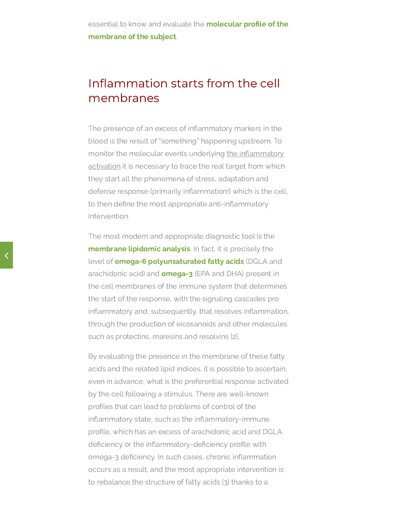## Inflammation starts from the cell membranes

The presence of an excess of inflammatory markers in the blood is the result of "something" happening upstream. To monitor the molecular events underlying the [inflammatory](https://www.lipinutragen.it/en/inflammation-a-good-or-a-bad/) activation it is necessary to trace the real target from which they start all the phenomena of stress, adaptation and defense response (primarily inflammation!) which is the cell, to then define the most appropriate anti-inflammatory intervention.

The most modern and appropriate diagnostic tool is the membrane lipidomic analysis. In fact, it is precisely the level of **omega-6 polyunsaturated fatty acids** (DGLA and arachidonic acid) and **omega-3** (EPA and DHA) present in the cell membranes of the immune system that determines the start of the response, with the signaling cascades pro inflammatory and, subsequently, that resolves inflammation, through the production of eicosanoids and other molecules such as protectins, maresins and resolvins [2].

By evaluating the presence in the membrane of these fatty acids and the related lipid indices, it is possible to ascertain, even in advance, what is the preferential response activated by the cell following a stimulus. There are well-known profiles that can lead to problems of control of the inflammatory state, such as the inflammatory-immune profile, which has an excess of arachidonic acid and DGLA deficiency or the inflammatory-deficiency profile with omega-3 deficiency. In such cases, chronic inflammation occurs as a result, and the most appropriate intervention is to rebalance the structure of fatty acids [3] thanks to a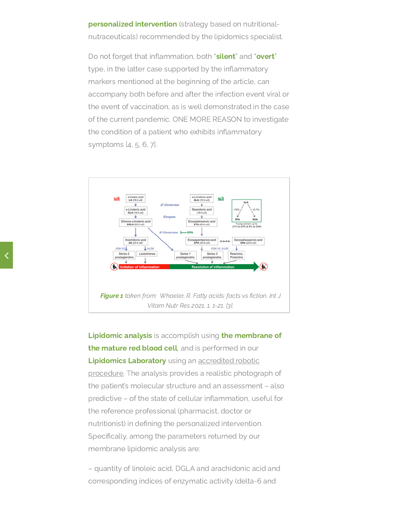**personalized intervention** (strategy based on nutritionalnutraceuticals) recommended by the lipidomics specialist.

Do not forget that inflammation, both "silent" and "overt" type, in the latter case supported by the inflammatory markers mentioned at the beginning of the article, can accompany both before and after the infection event viral or the event of vaccination, as is well demonstrated in the case of the current pandemic. ONE MORE REASON to investigate the condition of a patient who exhibits inflammatory symptoms [4, 5, 6, 7].



Lipidomic analysis is accomplish using the membrane of the mature red blood cell, and is performed in our Lipidomics Laboratory using an accredited robotic [procedure.](https://www.lipinutragen.it/en/about-us/accreditation/) The analysis provides a realistic photograph of the patient's molecular structure and an assessment – also predictive – of the state of cellular inflammation, useful for the reference professional (pharmacist, doctor or nutritionist) in defining the personalized intervention. Specifically, among the parameters returned by our membrane lipidomic analysis are:

– quantity of linoleic acid, DGLA and arachidonic acid and corresponding indices of enzymatic activity (delta-6 and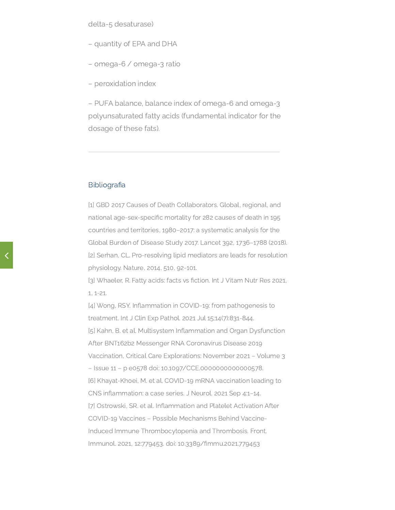- quantity of EPA and DHA
- omega-6 / omega-3 ratio
- peroxidation index

– PUFA balance, balance index of omega-6 and omega-3 polyunsaturated fatty acids (fundamental indicator for the dosage of these fats).

#### **Bibliografia**

[1] GBD 2017 Causes of Death Collaborators. Global, regional, and national age-sex-specific mortality for 282 causes of death in 195 countries and territories, 1980–2017: a systematic analysis for the Global Burden of Disease Study 2017. Lancet 392, 1736–1788 (2018). [2] Serhan, CL. Pro-resolving lipid mediators are leads for resolution physiology. Nature, 2014, 510, 92-101.

[3] Whaeler, R. Fatty acids: facts vs fiction. Int J Vitam Nutr Res 2021, 1, 1-21.

[4] Wong, RSY. Inflammation in COVID-19: from pathogenesis to treatment. Int J Clin Exp Pathol. 2021 Jul 15;14(7):831-844. [5] Kahn, B. et al. Multisystem Inflammation and Organ Dysfunction After BNT162b2 Messenger RNA Coronavirus Disease 2019 Vaccination, Critical Care Explorations: November 2021 – Volume 3 – Issue 11 – p e0578 doi: 10.1097/CCE.0000000000000578. [6] Khayat-Khoei, M. et al. COVID-19 mRNA vaccination leading to CNS inflammation: a case series. J Neurol. 2021 Sep 4:1–14. [7] Ostrowski, SR. et al. Inflammation and Platelet Activation After COVID-19 Vaccines – Possible Mechanisms Behind Vaccine-Induced Immune Thrombocytopenia and Thrombosis. Front. Immunol. 2021, 12:779453. doi: 10.3389/fimmu.2021.779453